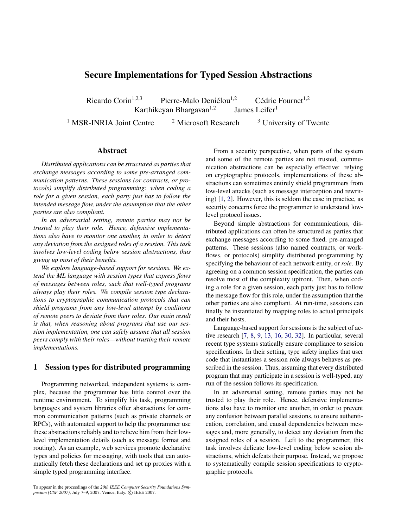# Secure Implementations for Typed Session Abstractions

Ricardo Corin<sup>1,2,3</sup> Pierre-Malo Deniélou<sup>1,2</sup>  $^{1,2}$  Cédric Fournet<sup>1,2</sup>

Karthikeyan Bhargavan<sup>1,2</sup> James Leifer<sup>1</sup>

<sup>1</sup> MSR-INRIA Joint Centre  $\frac{2 \text{ Microsoft Research}}{3 \text{ University of Twente}}$ 

#### Abstract

*Distributed applications can be structured as parties that exchange messages according to some pre-arranged communication patterns. These sessions (or contracts, or protocols) simplify distributed programming: when coding a role for a given session, each party just has to follow the intended message flow, under the assumption that the other parties are also compliant.*

*In an adversarial setting, remote parties may not be trusted to play their role. Hence, defensive implementations also have to monitor one another, in order to detect any deviation from the assigned roles of a session. This task involves low-level coding below session abstractions, thus giving up most of their benefits.*

*We explore language-based support for sessions. We extend the ML language with session types that express flows of messages between roles, such that well-typed programs always play their roles. We compile session type declarations to cryptographic communication protocols that can shield programs from any low-level attempt by coalitions of remote peers to deviate from their roles. Our main result is that, when reasoning about programs that use our session implementation, one can safely assume that all session peers comply with their roles—without trusting their remote implementations.*

#### 1 Session types for distributed programming

Programming networked, independent systems is complex, because the programmer has little control over the runtime environment. To simplify his task, programming languages and system libraries offer abstractions for common communication patterns (such as private channels or RPCs), with automated support to help the programmer use these abstractions reliably and to relieve him from their lowlevel implementation details (such as message format and routing). As an example, web services promote declarative types and policies for messaging, with tools that can automatically fetch these declarations and set up proxies with a simple typed programming interface.

From a security perspective, when parts of the system and some of the remote parties are not trusted, communication abstractions can be especially effective: relying on cryptographic protocols, implementations of these abstractions can sometimes entirely shield programmers from low-level attacks (such as message interception and rewriting) [\[1,](#page-13-0) [2\]](#page-13-1). However, this is seldom the case in practice, as security concerns force the programmer to understand lowlevel protocol issues.

Beyond simple abstractions for communications, distributed applications can often be structured as parties that exchange messages according to some fixed, pre-arranged patterns. These sessions (also named contracts, or workflows, or protocols) simplify distributed programming by specifying the behaviour of each network entity, or *role*. By agreeing on a common session specification, the parties can resolve most of the complexity upfront. Then, when coding a role for a given session, each party just has to follow the message flow for this role, under the assumption that the other parties are also compliant. At run-time, sessions can finally be instantiated by mapping roles to actual principals and their hosts.

Language-based support for sessions is the subject of active research [\[7,](#page-13-2) [8,](#page-13-3) [9,](#page-13-4) [13,](#page-13-5) [16,](#page-14-0) [30,](#page-14-1) [32\]](#page-14-2). In particular, several recent type systems statically ensure compliance to session specifications. In their setting, type safety implies that user code that instantiates a session role always behaves as prescribed in the session. Thus, assuming that every distributed program that may participate in a session is well-typed, any run of the session follows its specification.

In an adversarial setting, remote parties may not be trusted to play their role. Hence, defensive implementations also have to monitor one another, in order to prevent any confusion between parallel sessions, to ensure authentication, correlation, and causal dependencies between messages and, more generally, to detect any deviation from the assigned roles of a session. Left to the programmer, this task involves delicate low-level coding below session abstractions, which defeats their purpose. Instead, we propose to systematically compile session specifications to cryptographic protocols.

To appear in the proceedings of the *20th IEEE Computer Security Foundations Sym*posium (CSF 2007), July 7-9, 2007, Venice, Italy. © IEEE 2007.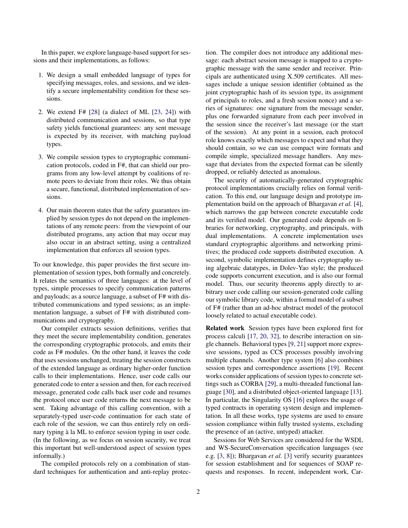In this paper, we explore language-based support for sessions and their implementations, as follows:

- 1. We design a small embedded language of types for specifying messages, roles, and sessions, and we identify a secure implementability condition for these sessions.
- 2. We extend F# [\[28\]](#page-14-3) (a dialect of ML [\[23,](#page-14-4) [24\]](#page-14-5)) with distributed communication and sessions, so that type safety yields functional guarantees: any sent message is expected by its receiver, with matching payload types.
- 3. We compile session types to cryptographic communication protocols, coded in F#, that can shield our programs from any low-level attempt by coalitions of remote peers to deviate from their roles. We thus obtain a secure, functional, distributed implementation of sessions.
- 4. Our main theorem states that the safety guarantees implied by session types do not depend on the implementations of any remote peers: from the viewpoint of our distributed programs, any action that may occur may also occur in an abstract setting, using a centralized implementation that enforces all session types.

To our knowledge, this paper provides the first secure implementation of session types, both formally and concretely. It relates the semantics of three languages: at the level of types, simple processes to specify communication patterns and payloads; as a source language, a subset of F# with distributed communications and typed sessions; as an implementation language, a subset of F# with distributed communications and cryptography.

Our compiler extracts session definitions, verifies that they meet the secure implementability condition, generates the corresponding cryptographic protocols, and emits their code as F# modules. On the other hand, it leaves the code that uses sessions unchanged, treating the session constructs of the extended language as ordinary higher-order function calls to their implementations. Hence, user code calls our generated code to enter a session and then, for each received message, generated code calls back user code and resumes the protocol once user code returns the next message to be sent. Taking advantage of this calling convention, with a separately-typed user-code continuation for each state of each role of the session, we can thus entirely rely on ordinary typing à la ML to enforce session typing in user code. (In the following, as we focus on session security, we treat this important but well-understood aspect of session types informally.)

The compiled protocols rely on a combination of standard techniques for authentication and anti-replay protection. The compiler does not introduce any additional message: each abstract session message is mapped to a cryptographic message with the same sender and receiver. Principals are authenticated using X.509 certificates. All messages include a unique session identifier (obtained as the joint cryptographic hash of its session type, its assignment of principals to roles, and a fresh session nonce) and a series of signatures: one signature from the message sender, plus one forwarded signature from each peer involved in the session since the receiver's last message (or the start of the session). At any point in a session, each protocol role knows exactly which messages to expect and what they should contain, so we can use compact wire formats and compile simple, specialized message handlers. Any message that deviates from the expected format can be silently dropped, or reliably detected as anomalous.

The security of automatically-generated cryptographic protocol implementations crucially relies on formal verification. To this end, our language design and prototype implementation build on the approach of Bhargavan *et al.* [\[4\]](#page-13-6), which narrows the gap between concrete executable code and its verified model. Our generated code depends on libraries for networking, cryptography, and principals, with dual implementations. A concrete implementation uses standard cryptographic algorithms and networking primitives; the produced code supports distributed execution. A second, symbolic implementation defines cryptography using algebraic datatypes, in Dolev-Yao style; the produced code supports concurrent execution, and is also our formal model. Thus, our security theorems apply directly to arbitrary user code calling our session-generated code calling our symbolic library code, within a formal model of a subset of F# (rather than an ad-hoc abstract model of the protocol loosely related to actual executable code).

Related work Session types have been explored first for process calculi [\[17,](#page-14-6) [20,](#page-14-7) [32\]](#page-14-2), to describe interaction on single channels. Behavioral types [\[9,](#page-13-4) [21\]](#page-14-8) support more expressive sessions, typed as CCS processes possibly involving multiple channels. Another type system [\[6\]](#page-13-7) also combines session types and correspondence assertions [\[19\]](#page-14-9). Recent works consider applications of session types to concrete settings such as CORBA [\[29\]](#page-14-10), a multi-threaded functional language [\[30\]](#page-14-1), and a distributed object-oriented language [\[13\]](#page-13-5). In particular, the Singularity OS [\[16\]](#page-14-0) explores the usage of typed contracts in operating system design and implementation. In all these works, type systems are used to ensure session compliance within fully trusted systems, excluding the presence of an (active, untyped) attacker.

Sessions for Web Services are considered for the WSDL and WS-SecureConversation specification languages (see e.g. [\[3,](#page-13-8) [8\]](#page-13-3)); Bhargavan *et al.* [\[3\]](#page-13-8) verify security guarantees for session establishment and for sequences of SOAP requests and responses. In recent, independent work, Car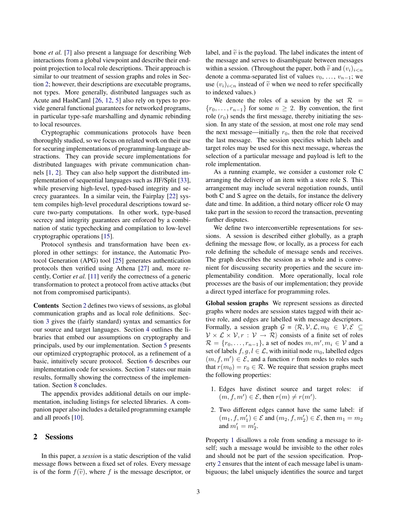bone *et al.* [\[7\]](#page-13-2) also present a language for describing Web interactions from a global viewpoint and describe their endpoint projection to local role descriptions. Their approach is similar to our treatment of session graphs and roles in Section [2;](#page-2-0) however, their descriptions are executable programs, not types. More generally, distributed languages such as Acute and HashCaml [\[26,](#page-14-11) [12,](#page-13-9) [5\]](#page-13-10) also rely on types to provide general functional guarantees for networked programs, in particular type-safe marshalling and dynamic rebinding to local resources.

Cryptographic communications protocols have been thoroughly studied, so we focus on related work on their use for securing implementations of programming-language abstractions. They can provide secure implementations for distributed languages with private communication channels [\[1,](#page-13-0) [2\]](#page-13-1). They can also help support the distributed implementation of sequential languages such as JIF/Split [\[33\]](#page-14-12), while preserving high-level, typed-based integrity and secrecy guarantees. In a similar vein, the Fairplay [\[22\]](#page-14-13) system compiles high-level procedural descriptions toward secure two-party computations. In other work, type-based secrecy and integrity guarantees are enforced by a combination of static typechecking and compilation to low-level cryptographic operations [\[15\]](#page-14-14).

Protocol synthesis and transformation have been explored in other settings: for instance, the Automatic Protocol Generation (APG) tool [\[25\]](#page-14-15) generates authentication protocols then verified using Athena [\[27\]](#page-14-16) and, more recently, Cortier *et al.* [\[11\]](#page-13-11) verify the correctness of a generic transformation to protect a protocol from active attacks (but not from compromised participants).

Contents Section [2](#page-2-0) defines two views of sessions, as global communication graphs and as local role definitions. Section [3](#page-5-0) gives the (fairly standard) syntax and semantics for our source and target languages. Section [4](#page-7-0) outlines the libraries that embed our assumptions on cryptography and principals, used by our implementation. Section [5](#page-8-0) presents our optimized cryptographic protocol, as a refinement of a basic, intuitively secure protocol. Section [6](#page-9-0) describes our implementation code for sessions. Section [7](#page-10-0) states our main results, formally showing the correctness of the implementation. Section [8](#page-12-0) concludes.

The appendix provides additional details on our implementation, including listings for selected libraries. A companion paper also includes a detailed programming example and all proofs [\[10\]](#page-13-12).

#### <span id="page-2-0"></span>2 Sessions

In this paper, a *session* is a static description of the valid message flows between a fixed set of roles. Every message is of the form  $f(\tilde{v})$ , where f is the message descriptor, or label, and  $\tilde{v}$  is the payload. The label indicates the intent of the message and serves to disambiguate between messages within a session. (Throughout the paper, both  $\tilde{v}$  and  $(v_i)_{i \leq n}$ denote a comma-separated list of values  $v_0, \ldots, v_{n-1}$ ; we use  $(v_i)_{i \leq n}$  instead of  $\tilde{v}$  when we need to refer specifically to indexed values.)

We denote the roles of a session by the set  $\mathcal{R}$  =  ${r_0, \ldots, r_{n-1}}$  for some  $n \geq 2$ . By convention, the first role  $(r_0)$  sends the first message, thereby initiating the session. In any state of the session, at most one role may send the next message—initially  $r_0$ , then the role that received the last message. The session specifies which labels and target roles may be used for this next message, whereas the selection of a particular message and payload is left to the role implementation.

As a running example, we consider a customer role C arranging the delivery of an item with a store role S. This arrangement may include several negotiation rounds, until both C and S agree on the details, for instance the delivery date and time. In addition, a third notary officer role O may take part in the session to record the transaction, preventing further disputes.

We define two interconvertible representations for sessions. A session is described either globally, as a graph defining the message flow, or locally, as a process for each role defining the schedule of message sends and receives. The graph describes the session as a whole and is convenient for discussing security properties and the secure implementability condition. More operationally, local role processes are the basis of our implementation; they provide a direct typed interface for programming roles.

Global session graphs We represent sessions as directed graphs where nodes are session states tagged with their active role, and edges are labelled with message descriptors. Formally, a session graph  $G = \langle \mathcal{R}, \mathcal{V}, \mathcal{L}, m_0 \in \mathcal{V}, \mathcal{E} \subseteq$  $V \times \mathcal{L} \times V$ ,  $r : V \to \mathcal{R}$  consists of a finite set of roles  $\mathcal{R} = \{r_0, \ldots, r_{n-1}\}\$ , a set of nodes  $m, m', m_i \in \mathcal{V}$  and a set of labels  $f, g, l \in \mathcal{L}$ , with initial node  $m_0$ , labelled edges  $(m, f, m') \in \mathcal{E}$ , and a function r from nodes to roles such that  $r(m_0) = r_0 \in \mathcal{R}$ . We require that session graphs meet the following properties:

- <span id="page-2-1"></span>1. Edges have distinct source and target roles: if  $(m, f, m') \in \mathcal{E}$ , then  $r(m) \neq r(m')$ .
- <span id="page-2-2"></span>2. Two different edges cannot have the same label: if  $(m_1, f, m_1') \in \mathcal{E}$  and  $(m_2, f, m_2') \in \mathcal{E}$ , then  $m_1 = m_2$ and  $m'_1 = m'_2$ .

Property [1](#page-2-1) disallows a role from sending a message to itself; such a message would be invisible to the other roles and should not be part of the session specification. Property [2](#page-2-2) ensures that the intent of each message label is unambiguous; the label uniquely identifies the source and target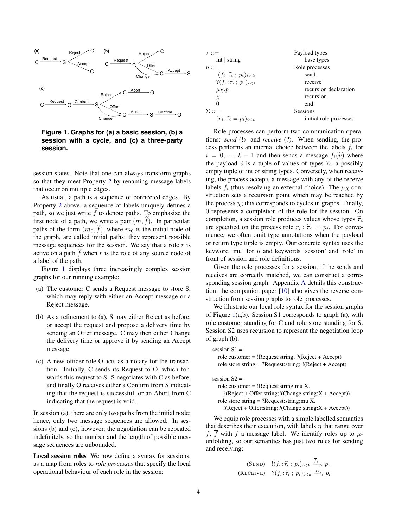

<span id="page-3-0"></span>**Figure 1. Graphs for (a) a basic session, (b) a session with a cycle, and (c) a three-party session.**

session states. Note that one can always transform graphs so that they meet Property [2](#page-2-2) by renaming message labels that occur on multiple edges.

As usual, a path is a sequence of connected edges. By Property [2](#page-2-2) above, a sequence of labels uniquely defines a path, so we just write  $f$  to denote paths. To emphasize the first node of a path, we write a pair  $(m, f)$ . In particular, paths of the form  $(m_0, f)$ , where  $m_0$  is the initial node of the graph, are called initial paths; they represent possible message sequences for the session. We say that a role  $r$  is active on a path  $f$  when  $r$  is the role of any source node of a label of the path.

Figure [1](#page-3-0) displays three increasingly complex session graphs for our running example:

- (a) The customer C sends a Request message to store S, which may reply with either an Accept message or a Reject message.
- (b) As a refinement to (a), S may either Reject as before, or accept the request and propose a delivery time by sending an Offer message. C may then either Change the delivery time or approve it by sending an Accept message.
- (c) A new officer role O acts as a notary for the transaction. Initially, C sends its Request to O, which forwards this request to S. S negotiates with C as before, and finally O receives either a Confirm from S indicating that the request is successful, or an Abort from C indicating that the request is void.

In session (a), there are only two paths from the initial node; hence, only two message sequences are allowed. In sessions (b) and (c), however, the negotiation can be repeated indefinitely, so the number and the length of possible message sequences are unbounded.

Local session roles We now define a syntax for sessions, as a map from roles to *role processes* that specify the local operational behaviour of each role in the session:

| $\tau ::=$                                   | Payload types          |
|----------------------------------------------|------------------------|
| $int$   string                               | base types             |
| $p ::=$                                      | Role processes         |
| $!(f_i:\widetilde{\tau}_i:p_i)_{i\leq k}]$   | send                   |
| $? (f_i : \widetilde{\tau}_i ; p_i)_{i < k}$ | receive                |
| $\mu\chi.p$                                  | recursion declaration  |
| $\chi$                                       | recursion              |
|                                              | end                    |
| $\Sigma ::=$                                 | <b>Sessions</b>        |
| $(r_i:\widetilde{\tau}_i=p_i)_{i$            | initial role processes |

Role processes can perform two communication operations: *send* (!) and *receive* (?). When sending, the process performs an internal choice between the labels  $f_i$  for  $i = 0, \ldots, k - 1$  and then sends a message  $f_i(\tilde{v})$  where the payload  $\tilde{v}$  is a tuple of values of types  $\tilde{\tau}_i$ , a possibly<br>approximately tuple of integrating types. Conversely, when receive empty tuple of int or string types. Conversely, when receiving, the process accepts a message with any of the receive labels  $f_i$  (thus resolving an external choice). The  $\mu\chi$  construction sets a recursion point which may be reached by the process  $\chi$ ; this corresponds to cycles in graphs. Finally, 0 represents a completion of the role for the session. On completion, a session role produces values whose types  $\tilde{\tau}_i$ are specified on the process role  $r_i : \tilde{\tau}_i = p_i$ . For conve-<br>niance, we often omit type appointing when the paylood nience, we often omit type annotations when the payload or return type tuple is empty. Our concrete syntax uses the keyword 'mu' for  $\mu$  and keywords 'session' and 'role' in front of session and role definitions.

Given the role processes for a session, if the sends and receives are correctly matched, we can construct a corresponding session graph. Appendix [A](#page-14-17) details this construction; the companion paper [\[10\]](#page-13-12) also gives the reverse construction from session graphs to role processes.

We illustrate our local role syntax for the session graphs of Figure [1\(](#page-3-0)a,b). Session S1 corresponds to graph (a), with role customer standing for C and role store standing for S. Session S2 uses recursion to represent the negotiation loop of graph (b).

session  $S1 =$ role customer = !Request:string; ?(Reject + Accept) role store:string = ?Request:string; !(Reject + Accept)

session  $S2 =$ role customer = !Request:string;mu X.  $?$ (Reject + Offer:string;!(Change:string; $X + Accept)$ ) role store:string = ?Request:string;mu X.  $!(Reject + Offer:string;?(Change:string;X + Accept))$ 

We equip role processes with a simple labelled semantics that describes their execution, with labels  $\eta$  that range over f,  $\overline{f}$  with f a message label. We identify roles up to  $\mu$ unfolding, so our semantics has just two rules for sending and receiving:

(SEND) 
$$
!(f_i: \widetilde{\tau}_i ; p_i)_{i < k} \xrightarrow{f_i}_{r} p_i
$$
  
(RECEIVE)  $?(f_i: \widetilde{\tau}_i ; p_i)_{i < k} \xrightarrow{f_i}_{r} p_i$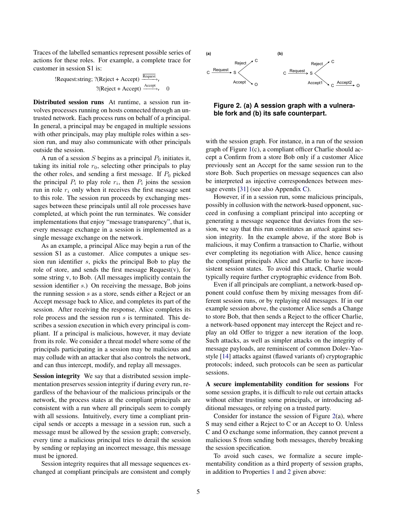Traces of the labelled semantics represent possible series of actions for these roles. For example, a complete trace for customer in session S1 is:

$$
? (Reject + Accept) \frac{\text{Request:string; ?} (Reject + Accept)}{\text{Accept}} \frac{\text{Accept}}{1} \cdot 0
$$

Distributed session runs At runtime, a session run involves processes running on hosts connected through an untrusted network. Each process runs on behalf of a principal. In general, a principal may be engaged in multiple sessions with other principals, may play multiple roles within a session run, and may also communicate with other principals outside the session.

A run of a session  $S$  begins as a principal  $P_0$  initiates it, taking its initial role  $r_0$ , selecting other principals to play the other roles, and sending a first message. If  $P_0$  picked the principal  $P_i$  to play role  $r_i$ , then  $P_i$  joins the session run in role  $r_i$  only when it receives the first message sent to this role. The session run proceeds by exchanging messages between these principals until all role processes have completed, at which point the run terminates. We consider implementations that enjoy "message transparency", that is, every message exchange in a session is implemented as a single message exchange on the network.

As an example, a principal Alice may begin a run of the session S1 as a customer. Alice computes a unique session run identifier s, picks the principal Bob to play the role of store, and sends the first message Request(v), for some string v, to Bob. (All messages implicitly contain the session identifier s.) On receiving the message, Bob joins the running session  $s$  as a store, sends either a Reject or an Accept message back to Alice, and completes its part of the session. After receiving the response, Alice completes its role process and the session run s is terminated. This describes a session execution in which every principal is compliant. If a principal is malicious, however, it may deviate from its role. We consider a threat model where some of the principals participating in a session may be malicious and may collude with an attacker that also controls the network, and can thus intercept, modify, and replay all messages.

Session integrity We say that a distributed session implementation preserves session integrity if during every run, regardless of the behaviour of the malicious principals or the network, the process states at the compliant principals are consistent with a run where all principals seem to comply with all sessions. Intuitively, every time a compliant principal sends or accepts a message in a session run, such a message must be allowed by the session graph; conversely, every time a malicious principal tries to derail the session by sending or replaying an incorrect message, this message must be ignored.

Session integrity requires that all message sequences exchanged at compliant principals are consistent and comply



<span id="page-4-0"></span>**Figure 2. (a) A session graph with a vulnerable fork and (b) its safe counterpart.**

with the session graph. For instance, in a run of the session graph of Figure [1\(](#page-3-0)c), a compliant officer Charlie should accept a Confirm from a store Bob only if a customer Alice previously sent an Accept for the same session run to the store Bob. Such properties on message sequences can also be interpreted as injective correspondences between message events [\[31\]](#page-14-18) (see also Appendix [C\)](#page-15-0).

However, if in a session run, some malicious principals, possibly in collusion with the network-based opponent, succeed in confusing a compliant principal into accepting or generating a message sequence that deviates from the session, we say that this run constitutes an *attack* against session integrity. In the example above, if the store Bob is malicious, it may Confirm a transaction to Charlie, without ever completing its negotiation with Alice, hence causing the compliant principals Alice and Charlie to have inconsistent session states. To avoid this attack, Charlie would typically require further cryptographic evidence from Bob.

Even if all principals are compliant, a network-based opponent could confuse them by mixing messages from different session runs, or by replaying old messages. If in our example session above, the customer Alice sends a Change to store Bob, that then sends a Reject to the officer Charlie, a network-based opponent may intercept the Reject and replay an old Offer to trigger a new iteration of the loop. Such attacks, as well as simpler attacks on the integrity of message payloads, are reminiscent of common Dolev-Yaostyle [\[14\]](#page-14-19) attacks against (flawed variants of) cryptographic protocols; indeed, such protocols can be seen as particular sessions.

A secure implementability condition for sessions For some session graphs, it is difficult to rule out certain attacks without either trusting some principals, or introducing additional messages, or relying on a trusted party.

Consider for instance the session of Figure [2\(](#page-4-0)a), where S may send either a Reject to C or an Accept to O. Unless C and O exchange some information, they cannot prevent a malicious S from sending both messages, thereby breaking the session specification.

To avoid such cases, we formalize a secure implementability condition as a third property of session graphs, in addition to Properties [1](#page-2-1) and [2](#page-2-2) given above: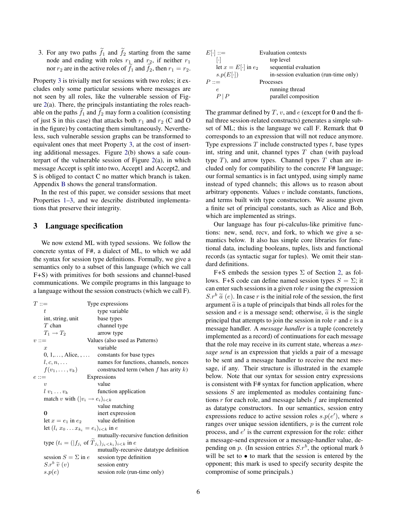<span id="page-5-1"></span>3. For any two paths  $f_1$  and  $f_2$  starting from the same node and ending with roles  $r_1$  and  $r_2$ , if neither  $r_1$ nor  $r_2$  are in the active roles of  $f_1$  and  $f_2$ , then  $r_1 = r_2$ .

Property [3](#page-5-1) is trivially met for sessions with two roles; it excludes only some particular sessions where messages are not seen by all roles, like the vulnerable session of Figure  $2(a)$  $2(a)$ . There, the principals instantiating the roles reachable on the paths  $f_1$  and  $f_2$  may form a coalition (consisting of just S in this case) that attacks both  $r_1$  and  $r_2$  (C and O in the figure) by contacting them simultaneously. Nevertheless, such vulnerable session graphs can be transformed to equivalent ones that meet Property [3,](#page-5-1) at the cost of inserting additional messages. Figure [2\(](#page-4-0)b) shows a safe counterpart of the vulnerable session of Figure [2\(](#page-4-0)a), in which message Accept is split into two, Accept1 and Accept2, and S is obliged to contact C no matter which branch is taken. Appendix [B](#page-14-20) shows the general transformation.

In the rest of this paper, we consider sessions that meet Properties [1–](#page-2-1)[3,](#page-5-1) and we describe distributed implementations that preserve their integrity.

#### <span id="page-5-0"></span>3 Language specification

We now extend ML with typed sessions. We follow the concrete syntax of F#, a dialect of ML, to which we add the syntax for session type definitions. Formally, we give a semantics only to a subset of this language (which we call F+S) with primitives for both sessions and channel-based communications. We compile programs in this language to a language without the session constructs (which we call F).

| $T::=$                                    |                                                                                | Type expressions                                            |
|-------------------------------------------|--------------------------------------------------------------------------------|-------------------------------------------------------------|
|                                           | t                                                                              | type variable                                               |
|                                           | int, string, unit                                                              | base types                                                  |
|                                           | $T$ chan                                                                       | channel type                                                |
|                                           | $T_1 \rightarrow T_2$                                                          | arrow type                                                  |
| Values (also used as Patterns)<br>$v ::=$ |                                                                                |                                                             |
|                                           | $\boldsymbol{x}$                                                               | variable                                                    |
|                                           |                                                                                | $0, 1, \ldots$ , Alice, , $\ldots$ constants for base types |
|                                           | $l, c, n, \ldots$                                                              | names for functions, channels, nonces                       |
|                                           | $f(v_1,\ldots,v_k)$                                                            | constructed term (when $f$ has arity $k$ )                  |
| $e ::=$                                   |                                                                                | Expressions                                                 |
|                                           | $\boldsymbol{v}$                                                               | value                                                       |
|                                           | $l v_1 \ldots v_k$                                                             | function application                                        |
|                                           | match v with $( v_i \rightarrow e_i)_{i \leq k}$                               |                                                             |
|                                           |                                                                                | value matching                                              |
|                                           | $\Omega$                                                                       | inert expression                                            |
|                                           | let $x = e_1$ in $e_2$                                                         | value definition                                            |
|                                           | let $(l_i x_0  x_{k_i} = e_i)_{i \leq k}$ in e                                 |                                                             |
|                                           |                                                                                | mutually-recursive function definition                      |
|                                           | type $(t_i = ( f_{j_i} \text{ of } \tilde{T}_{j_i})_{j_i < k_i})_{i < k}$ in e |                                                             |
|                                           |                                                                                | mutually-recursive datatype definition                      |
|                                           |                                                                                | session $S = \Sigma$ in e session type definition           |
|                                           | $S.r^b \tilde{v}(v)$                                                           | session entry                                               |
|                                           | s.p(e)                                                                         | session role (run-time only)                                |
|                                           |                                                                                |                                                             |

| $E[\cdot] ::=$              | <b>Evaluation contexts</b>            |
|-----------------------------|---------------------------------------|
| $\lceil . \rceil$           | top level                             |
| let $x = E[\cdot]$ in $e_2$ | sequential evaluation                 |
| $s.p(E[\cdot])$             | in-session evaluation (run-time only) |
| $P ::=$                     | Processes                             |
| e                           | running thread                        |
|                             | parallel composition                  |

The grammar defined by T, v, and e (except for 0 and the final three session-related constructs) generates a simple subset of ML; this is the language we call F. Remark that 0 corresponds to an expression that will not reduce anymore. Type expressions  $T$  include constructed types  $t$ , base types int, string and unit, channel types  $T$  chan (with payload type  $T$ ), and arrow types. Channel types  $T$  chan are included only for compatibility to the concrete F# language; our formal semantics is in fact untyped, using simply name instead of typed channels; this allows us to reason about arbitrary opponents. Values  $v$  include constants, functions, and terms built with type constructors. We assume given a finite set of principal constants, such as Alice and Bob, which are implemented as strings.

Our language has four pi-calculus-like primitive functions: new, send, recv, and fork, to which we give a semantics below. It also has simple core libraries for functional data, including booleans, tuples, lists and functional records (as syntactic sugar for tuples). We omit their standard definitions.

F+S embeds the session types  $\Sigma$  of Section [2,](#page-2-0) as follows. F+S code can define named session types  $S = \Sigma$ ; it can enter such sessions in a given role  $r$  using the expression  $S.r^{b}$   $\tilde{a}$  (e). In case r is the initial role of the session, the first argument  $\tilde{a}$  is a tuple of principals that binds all roles for the session and e is a message send; otherwise,  $\tilde{a}$  is the single principal that attempts to join the session in role  $r$  and  $e$  is a message handler. A *message handler* is a tuple (concretely implemented as a record) of continuations for each message that the role may receive in its current state, whereas a *message send* is an expression that yields a pair of a message to be sent and a message handler to receive the next message, if any. Their structure is illustrated in the example below. Note that our syntax for session entry expressions is consistent with F# syntax for function application, where sessions S are implemented as modules containing functions  $r$  for each role, and message labels  $f$  are implemented as datatype constructors. In our semantics, session entry expressions reduce to active session roles  $s.p(e')$ , where s ranges over unique session identifiers,  $p$  is the current role process, and  $e'$  is the current expression for the role: either a message-send expression or a message-handler value, depending on p. (In session entries  $S.r^b$ , the optional mark b will be set to  $\bullet$  to mark that the session is entered by the opponent; this mark is used to specify security despite the compromise of some principals.)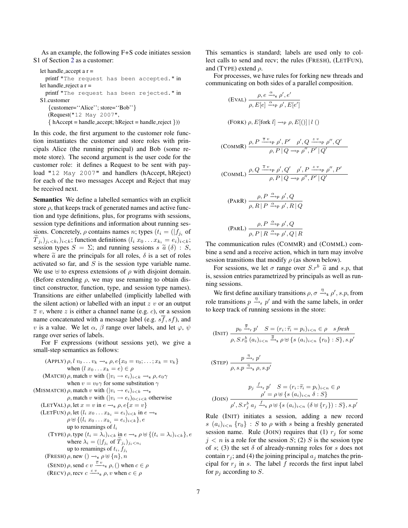As an example, the following F+S code initiates session S1 of Section [2](#page-2-0) as a customer:

```
let handle accept a r =printf "The request has been accepted." in
let handle reject a r =printf "The request has been rejected." in
S1.customer
   {customer=''Alice''; store=''Bob''}
  (Request("12 May 2007",
   \{ hAccept = handle\_accept; hReject = handle\_reject \})
```
In this code, the first argument to the customer role function instantiates the customer and store roles with principals Alice (the running principal) and Bob (some remote store). The second argument is the user code for the customer role: it defines a Request to be sent with payload "12 May 2007" and handlers (hAccept, hReject) for each of the two messages Accept and Reject that may be received next.

Semantics We define a labelled semantics with an explicit store  $\rho$ , that keeps track of generated names and active function and type definitions, plus, for programs with sessions, session type definitions and information about running sessions. Concretely,  $\rho$  contains names *n*; types  $(t_i = (|f_{j_i}|)$  of  $(T_{j_i})_{j_i < k_i}$  function definitions  $(l_i x_0 \dots x_{k_i} = e_i)_{i < k}$ ; session types  $S = \Sigma$ ; and running sessions s  $\tilde{a}(\delta) : S$ , where  $\tilde{a}$  are the principals for all roles,  $\delta$  is a set of roles activated so far, and  $S$  is the session type variable name. We use  $\forall$  to express extensions of  $\rho$  with disjoint domain. (Before extending  $\rho$ , we may use renaming to obtain distinct constructor, function, type, and session type names). Transitions are either unlabelled (implicitly labelled with the silent action) or labelled with an input  $z \, v$  or an output  $\overline{z}$  v, where z is either a channel name (e.g. c), or a session name concatenated with a message label (e.g.  $s\bar{f}$ , sf), and v is a value. We let  $\alpha$ ,  $\beta$  range over labels, and let  $\varphi$ ,  $\psi$ range over series of labels.

For F expressions (without sessions yet), we give a small-step semantics as follows:

(APPLY) ρ, l v<sub>0</sub>...v<sub>k</sub> →<sub>e</sub> ρ, e{x<sub>0</sub> = v<sub>0</sub>; ...; x<sub>k</sub> = v<sub>k</sub>}  
\nwhen (l x<sub>0</sub>...x<sub>k</sub> = e) ∈ ρ  
\n(MATCH) ρ, match v with (|v<sub>i</sub> → e<sub>i</sub>)<sub>i</sub> & →<sub>e</sub> ρ, e<sub>0</sub>γ  
\nwhen v = v<sub>0</sub>γ for some substitution γ  
\n(MISMATCH) ρ, match v with (|v<sub>i</sub> → e<sub>i</sub>)<sub>i</sub> & →<sub>e</sub>  
\nρ, match v with (|v<sub>i</sub> → e<sub>i</sub>)<sub>0</sub> < i<sub>k</sub> otherwise  
\n(LETVAL) ρ, let x = v in e →<sub>e</sub> ρ, e{x = v}  
\n(LETFUN) ρ, let (l<sub>i</sub> x<sub>0</sub>...x<sub>k<sub>i</sub></sub> = e<sub>i</sub>)<sub>i</sub> < k in e →<sub>e</sub>  
\nρ ⊎ {l<sub>i</sub> x<sub>0</sub>...x<sub>k<sub>i</sub></sub> = e<sub>i</sub>)<sub>i</sub> < k}. e  
\nup to renamings of l<sub>i</sub>  
\n(TYPE) ρ, type (t<sub>i</sub> = λ<sub>i</sub>)<sub>i</sub> < k in e →<sub>e</sub> ρ ⊎ {t<sub>i</sub> = λ<sub>i</sub>)<sub>i</sub> < k}, e  
\nwhere λ<sub>i</sub> = (|f<sub>j<sub>i</sub></sub> of T<sub>j<sub>i</sub></sub>)<sub>j<sub>i</sub> < n<sub>i</sub>  
\nup to renamings of t<sub>i</sub>, f<sub>j<sub>i</sub></sub>  
\n(FRESH) ρ, new () →<sub>e</sub> ρ ⊮ {n<sub>i</sub>}, n  
\n(SEND) ρ, send c v 
$$
\frac{\bar{c} \cdot v}{\bar{c} \cdot \bar{c}} \rho
$$
, v when  $c \in \rho$   
\n(RecV) ρ, recv c  $\frac{c \cdot v}{\bar{c} \cdot \bar{c}} \rho$ , v when  $c \in \rho$</sub> 

This semantics is standard; labels are used only to collect calls to send and recv; the rules (FRESH), (LETFUN), and (TYPE) extend  $\rho$ .

For processes, we have rules for forking new threads and communicating on both sides of a parallel composition.

(EVAL) 
$$
\frac{\rho, e^{\frac{\alpha}{\rho}} e^{\rho'}, e'}{\rho, E[e] \xrightarrow{\alpha} \rho', E[e']}
$$

\n(FORK)  $\rho, E$ [fork  $l$ ]  $\rightarrow$   $\rho, E$ [()] |  $l$  ()

\n(COMMR) 
$$
\frac{\rho, P \xrightarrow{\overline{z} \cdot v} \rho, \rho', P' \quad \rho', Q \xrightarrow{z \cdot v} \rho, \rho'', Q'}{\rho, P | Q \rightarrow \rho, P', P' | Q'}
$$

\n(COMML) 
$$
\frac{\rho, Q \xrightarrow{\overline{z} \cdot v} \rho, \rho', Q' \quad \rho', P \xrightarrow{z \cdot v} \rho, \rho'', P'}{\rho, P | Q \rightarrow \rho, P', P' | Q'}
$$

\n(PARR) 
$$
\frac{\rho, P \xrightarrow{\alpha} \rho, \rho', Q}{\rho, R | P \xrightarrow{\alpha} \rho, \rho', R | Q}
$$

\n(PARL) 
$$
\frac{\rho, P \xrightarrow{\alpha} \rho, \rho', Q}{\rho, P | R \xrightarrow{\alpha} \rho, \rho', Q | R}
$$

The communication rules (COMMR) and (COMML) combine a send and a receive action, which in turn may involve session transitions that modify  $\rho$  (as shown below).

For sessions, we let  $\sigma$  range over  $S.r^b \; \tilde{a}$  and s.p, that is, session entries parametrized by principals as well as running sessions.

We first define auxiliary transitions  $\rho$ ,  $\sigma \xrightarrow{\eta} \rho'$ , s.p, from role transitions  $p \xrightarrow{\eta} p'$  and with the same labels, in order to keep track of running sessions in the store:

(INIT) 
$$
\frac{p_0 \overline{\mathcal{B}}_r p'}{\rho, S \cdot r} p' S = (r_i : \widetilde{\tau}_i = p_i)_{i < n} \in \rho
$$
 s fresh  
\n $\rho, S \cdot r_0^b (a_i)_{i < n} \overline{\mathcal{B}}_s \rho \oplus \{s (a_i)_{i < n} \{r_0\} : S\}, s \cdot p' \}$   
\n(STEP)  $\frac{p \mathcal{B}_{r} \cdot p'}{\rho, s \cdot p \mathcal{B}_{r}} \rho, s \cdot p' \sum_{\gamma \vdash r} p' S = (r_i : \widetilde{\tau}_i = p_i)_{i < n} \in \rho$ 

(JOIN) 
$$
p_j \xrightarrow{f} p' \quad S = (r_i : \widetilde{\tau}_i = p_i)_{i \le n} \in \rho
$$

$$
\rho' = \rho \oplus \{s \ (a_i)_{i \le n} \ \delta : S\}
$$

$$
\rho', S.r_j^b \ a_j \xrightarrow{f} \rho \oplus \{s \ (a_i)_{i \le n} \ (\delta \oplus \{r_j\}) : S\}, s.p'
$$

Rule (INIT) initiates a session, adding a new record s  $(a_i)_{i \le n}$   $\{r_0\}$ : S to  $\rho$  with s being a freshly generated session name. Rule (JOIN) requires that (1)  $r_i$  for some  $j < n$  is a role for the session S; (2) S is the session type of s; (3) the set  $\delta$  of already-running roles for s does not contain  $r_i$ ; and (4) the joining principal  $a_i$  matches the principal for  $r_j$  in s. The label f records the first input label for  $p_j$  according to S.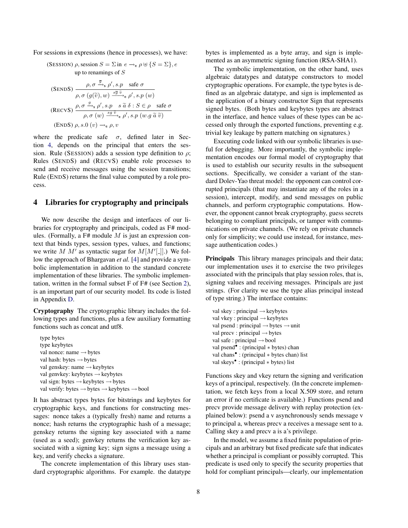For sessions in expressions (hence in processes), we have:

(SESSION) 
$$
\rho
$$
, session  $S = \Sigma$  in  $e \rightarrow_e \rho \oplus \{S = \Sigma\}$ ,  $e$   
\nup to renamings of  $S$   
\n(SENDS)  $\frac{\rho, \sigma \stackrel{\overline{g}}{\rightarrow} s \rho', s.p \text{ safe } \sigma}{\rho, \sigma (g(\widetilde{v}), w) \stackrel{s\overline{g}\widetilde{v}}{\rightarrow} e \rho', s.p \text{ (}w\text{)}}$   
\n(RECVS)  $\frac{\rho, \sigma \stackrel{g}{\rightarrow} s \rho', s.p \text{ sa } \widetilde{a} \delta : S \in \rho \text{ safe } \sigma}{\rho, \sigma (w) \stackrel{s g \widetilde{v}}{\rightarrow} e \rho', s.p \text{ (}w.g \widetilde{a} \widetilde{v}\text{)}}$   
\n(ENDS)  $\rho, s.0 (v) \rightarrow_e \rho, v$ 

where the predicate safe  $\sigma$ , defined later in Section [4,](#page-7-0) depends on the principal that enters the session. Rule (SESSION) adds a session type definition to  $\rho$ ; Rules (SENDS) and (RECVS) enable role processes to send and receive messages using the session transitions; Rule (ENDS) returns the final value computed by a role process.

#### <span id="page-7-0"></span>4 Libraries for cryptography and principals

We now describe the design and interfaces of our libraries for cryptography and principals, coded as F# modules. (Formally, a  $F#$  module M is just an expression context that binds types, session types, values, and functions; we write M  $M'$  as syntactic sugar for  $M[M'[\ldots]]$ .) We follow the approach of Bhargavan *et al.* [\[4\]](#page-13-6) and provide a symbolic implementation in addition to the standard concrete implementation of these libraries. The symbolic implementation, written in the formal subset F of F# (see Section [2\)](#page-2-0), is an important part of our security model. Its code is listed in Appendix [D.](#page-15-1)

Cryptography The cryptographic library includes the following types and functions, plus a few auxiliary formatting functions such as concat and utf8.

type bytes type keybytes val nonce: name  $\rightarrow$  bytes val hash: bytes  $\rightarrow$  bytes val genskey: name  $\rightarrow$  keybytes val genvkey: keybytes  $\rightarrow$  keybytes val sign: bytes  $\rightarrow$  keybytes  $\rightarrow$  bytes val verify: bytes  $\rightarrow$  bytes  $\rightarrow$  keybytes  $\rightarrow$  bool

It has abstract types bytes for bitstrings and keybytes for cryptographic keys, and functions for constructing messages: nonce takes a (typically fresh) name and returns a nonce; hash returns the cryptographic hash of a message; genskey returns the signing key associated with a name (used as a seed); genvkey returns the verification key associated with a signing key; sign signs a message using a key, and verify checks a signature.

The concrete implementation of this library uses standard cryptographic algorithms. For example. the datatype bytes is implemented as a byte array, and sign is implemented as an asymmetric signing function (RSA-SHA1).

The symbolic implementation, on the other hand, uses algebraic datatypes and datatype constructors to model cryptographic operations. For example, the type bytes is defined as an algebraic datatype, and sign is implemented as the application of a binary constructor Sign that represents signed bytes. (Both bytes and keybytes types are abstract in the interface, and hence values of these types can be accessed only through the exported functions, preventing e.g. trivial key leakage by pattern matching on signatures.)

Executing code linked with our symbolic libraries is useful for debugging. More importantly, the symbolic implementation encodes our formal model of cryptography that is used to establish our security results in the subsequent sections. Specifically, we consider a variant of the standard Dolev-Yao threat model: the opponent can control corrupted principals (that may instantiate any of the roles in a session), intercept, modify, and send messages on public channels, and perform cryptographic computations. However, the opponent cannot break cryptography, guess secrets belonging to compliant principals, or tamper with communications on private channels. (We rely on private channels only for simplicity; we could use instead, for instance, message authentication codes.)

Principals This library manages principals and their data; our implementation uses it to exercise the two privileges associated with the principals that play session roles, that is, signing values and receiving messages. Principals are just strings. (For clarity we use the type alias principal instead of type string.) The interface contains:

val skey : principal  $\rightarrow$  keybytes val vkey : principal  $\rightarrow$  keybytes val psend : principal  $\rightarrow$  bytes  $\rightarrow$  unit val precv : principal →bytes val safe : principal  $\rightarrow$  bool val psend• : (principal ∗ bytes) chan val chans• : (principal ∗ bytes chan) list val skeys• : (principal ∗ bytes) list

Functions skey and vkey return the signing and verification keys of a principal, respectively. (In the concrete implementation, we fetch keys from a local X.509 store, and return an error if no certificate is available.) Functions psend and precv provide message delivery with replay protection (explained below): psend a v asynchronously sends message v to principal a, whereas precv a receives a message sent to a. Calling skey a and precv a is a's privilege.

In the model, we assume a fixed finite population of principals and an arbitrary but fixed predicate safe that indicates whether a principal is compliant or possibly corrupted. This predicate is used only to specify the security properties that hold for compliant principals—clearly, our implementation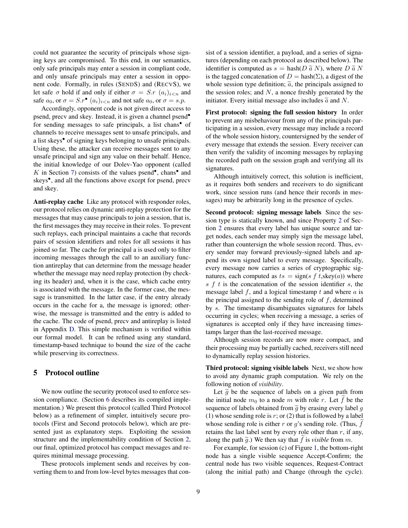could not guarantee the security of principals whose signing keys are compromised. To this end, in our semantics, only safe principals may enter a session in compliant code, and only unsafe principals may enter a session in opponent code. Formally, in rules (SENDS) and (RECVS), we let safe  $\sigma$  hold if and only if either  $\sigma = S.r$   $(a_i)_{i \leq n}$  and safe  $a_0$ , or  $\sigma = S.r^{\bullet}$   $(a_i)_{i \le n}$  and not safe  $a_0$ , or  $\sigma = s.p$ .

Accordingly, opponent code is not given direct access to psend, precv and skey. Instead, it is given a channel psend• for sending messages to safe principals, a list chans• of channels to receive messages sent to unsafe principals, and a list skeys• of signing keys belonging to unsafe principals. Using these, the attacker can receive messages sent to any unsafe principal and sign any value on their behalf. Hence, the initial knowledge of our Dolev-Yao opponent (called K in Section [7\)](#page-10-0) consists of the values psend<sup>•</sup>, chans<sup>•</sup> and skeys<sup>•</sup>, and all the functions above except for psend, precv and skey.

Anti-replay cache Like any protocol with responder roles, our protocol relies on dynamic anti-replay protection for the messages that may cause principals to join a session, that is, the first messages they may receive in their roles. To prevent such replays, each principal maintains a cache that records pairs of session identifiers and roles for all sessions it has joined so far. The cache for principal a is used only to filter incoming messages through the call to an auxiliary function antireplay that can determine from the message header whether the message may need replay protection (by checking its header) and, when it is the case, which cache entry is associated with the message. In the former case, the message is transmitted. In the latter case, if the entry already occurs in the cache for a, the message is ignored; otherwise, the message is transmitted and the entry is added to the cache. The code of psend, precv and antireplay is listed in Appendix [D.](#page-15-1) This simple mechanism is verified within our formal model. It can be refined using any standard, timestamp-based technique to bound the size of the cache while preserving its correctness.

#### <span id="page-8-0"></span>5 Protocol outline

We now outline the security protocol used to enforce session compliance. (Section [6](#page-9-0) describes its compiled implementation.) We present this protocol (called Third Protocol below) as a refinement of simpler, intuitively secure protocols (First and Second protocols below), which are presented just as explanatory steps. Exploiting the session structure and the implementability condition of Section [2,](#page-2-0) our final, optimized protocol has compact messages and requires minimal message processing.

These protocols implement sends and receives by converting them to and from low-level bytes messages that consist of a session identifier, a payload, and a series of signatures (depending on each protocol as described below). The identifier is computed as  $s = \text{hash}(D \tilde{a} N)$ , where  $D \tilde{a} N$ is the tagged concatenation of  $D = \text{hash}(\Sigma)$ , a digest of the whole session type definition;  $\tilde{a}$ , the principals assigned to the session roles; and  $N$ , a nonce freshly generated by the initiator. Every initial message also includes  $\tilde{a}$  and N.

First protocol: signing the full session history In order to prevent any misbehaviour from any of the principals participating in a session, every message may include a record of the whole session history, countersigned by the sender of every message that extends the session. Every receiver can then verify the validity of incoming messages by replaying the recorded path on the session graph and verifying all its signatures.

Although intuitively correct, this solution is inefficient, as it requires both senders and receivers to do significant work, since session runs (and hence their records in messages) may be arbitrarily long in the presence of cycles.

Second protocol: signing message labels Since the session type is statically known, and since Property [2](#page-2-2) of Section [2](#page-2-0) ensures that every label has unique source and target nodes, each sender may simply sign the message label, rather than countersign the whole session record. Thus, every sender may forward previously-signed labels and append its own signed label to every message. Specifically, every message now carries a series of cryptographic signatures, each computed as  $ts = sign(s f, skev(a))$  where  $s \, f \, t$  is the concatenation of the session identifier s, the message label  $f$ , and a logical timestamp  $t$  and where  $a$  is the principal assigned to the sending role of  $f$ , determined by s. The timestamp disambiguates signatures for labels occurring in cycles; when receiving a message, a series of signatures is accepted only if they have increasing timestamps larger than the last-received message.

Although session records are now more compact, and their processing may be partially cached, receivers still need to dynamically replay session histories.

Third protocol: signing visible labels Next, we show how to avoid any dynamic graph computation. We rely on the following notion of *visibility*.

Let  $\tilde{g}$  be the sequence of labels on a given path from the initial node  $m_0$  to a node m with role r. Let f be the sequence of labels obtained from  $\tilde{q}$  by erasing every label q (1) whose sending role is  $r$ ; or (2) that is followed by a label whose sending role is either r or q's sending role. (Thus,  $f$ retains the last label sent by every role other than  $r$ , if any, along the path  $\tilde{g}$ .) We then say that f is *visible* from m.

For example, for session (c) of Figure [1,](#page-3-0) the bottom-right node has a single visible sequence Accept-Confirm; the central node has two visible sequences, Request-Contract (along the initial path) and Change (through the cycle).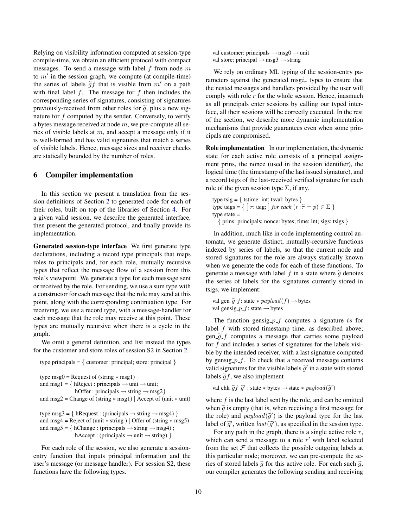Relying on visibility information computed at session-type compile-time, we obtain an efficient protocol with compact messages. To send a message with label  $f$  from node  $m$ to  $m'$  in the session graph, we compute (at compile-time) the series of labels  $\tilde{g}f$  that is visible from  $m'$  on a path with final label  $f$ . The message for  $f$  then includes the corresponding series of signatures, consisting of signatures previously-received from other roles for  $\tilde{q}$ , plus a new signature for f computed by the sender. Conversely, to verify a bytes message received at node m, we pre-compute all series of visible labels at  $m$ , and accept a message only if it is well-formed and has valid signatures that match a series of visible labels. Hence, message sizes and receiver checks are statically bounded by the number of roles.

## <span id="page-9-0"></span>6 Compiler implementation

In this section we present a translation from the session definitions of Section [2](#page-2-0) to generated code for each of their roles, built on top of the libraries of Section [4.](#page-7-0) For a given valid session, we describe the generated interface, then present the generated protocol, and finally provide its implementation.

Generated session-type interface We first generate type declarations, including a record type principals that maps roles to principals and, for each role, mutually recursive types that reflect the message flow of a session from this role's viewpoint. We generate a type for each message sent or received by the role. For sending, we use a sum type with a constructor for each message that the role may send at this point, along with the corresponding continuation type. For receiving, we use a record type, with a message-handler for each message that the role may receive at this point. These types are mutually recursive when there is a cycle in the graph.

We omit a general definition, and list instead the types for the customer and store roles of session S2 in Section [2.](#page-2-0)

type principals =  $\{$  customer: principal; store: principal  $\}$ 

```
type msg0 = Request of (string * msg1)
and msg1 = { hReject : principals \rightarrow unit \rightarrow unit;
                 hOffer : principals \rightarrow string \rightarrow msg2}
and msg2 = Change of (string * msg1) | Accept of (unit * unit)
type msg3 = { hRequest : (principals \rightarrow string \rightarrow msg4) }
and msg4 = Reject of (unit * string ) | Offer of (string * msg5)
and msg5 = { hChange : (principals \rightarrow string \rightarrow msg4) ;
                 hAccept : (principals \rightarrow unit \rightarrow string) }
```
For each role of the session, we also generate a sessionentry function that inputs principal information and the user's message (or message handler). For session S2, these functions have the following types.

val customer: principals  $\rightarrow$  msg $0 \rightarrow$ unit val store: principal  $\rightarrow$  msg3  $\rightarrow$  string

We rely on ordinary ML typing of the session-entry parameters against the generated  $msgi_r$  types to ensure that the nested messages and handlers provided by the user will comply with role  $r$  for the whole session. Hence, inasmuch as all principals enter sessions by calling our typed interface, all their sessions will be correctly executed. In the rest of the section, we describe more dynamic implementation mechanisms that provide guarantees even when some principals are compromised.

Role implementation In our implementation, the dynamic state for each active role consists of a principal assignment prins, the nonce (used in the session identifier), the logical time (the timestamp of the last issued signature), and a record tsigs of the last-received verified signature for each role of the given session type  $\Sigma$ , if any.

type tsig =  $\{$  tstime: int; tsval: bytes  $\}$ type tsigs = {  $[r: \text{tsig}; ]$  *for each*  $(r: \widetilde{\tau} = p) \in \Sigma$  } type state  $=$ { prins: principals; nonce: bytes; time: int; sigs: tsigs }

In addition, much like in code implementing control automata, we generate distinct, mutually-recursive functions indexed by series of labels, so that the current node and stored signatures for the role are always statically known when we generate the code for each of these functions. To generate a message with label f in a state where  $\tilde{g}$  denotes the series of labels for the signatures currently stored in tsigs, we implement:

val gen\_ $\tilde{g}$ \_ $f$ : state \* payload(f)  $\rightarrow$  bytes val gensig  $p_f$ : state  $\rightarrow$  bytes

The function gensig  $p_f$  computes a signature ts for label  $f$  with stored timestamp time, as described above; gen  $\tilde{g}$  f computes a message that carries some payload for  $f$  and includes a series of signatures for the labels visible by the intended receiver, with a last signature computed by gensig  $p_f$ . To check that a received message contains valid signatures for the visible labels  $\tilde{g}'$  in a state with stored<br>labels  $\tilde{g}^f$ , we also implement labels  $\tilde{g}f$ , we also implement

```
val chk\tilde{\mathcal{G}}f\tilde{\mathcal{G}}': state * bytes \rightarrow state * payload(\tilde{g}')
```
where  $f$  is the last label sent by the role, and can be omitted when  $\tilde{q}$  is empty (that is, when receiving a first message for the role) and  $payload(\tilde{g}')$  is the payload type for the last<br>label of  $\tilde{g}'$  written  $last(\tilde{g}')$  as specified in the session type label of  $\tilde{g}'$ , written *last*( $\tilde{g}'$ ), as specified in the session type.<br>For any path in the graph, there is a single active role  $r$ .

For any path in the graph, there is a single active role  $r$ , which can send a message to a role  $r'$  with label selected from the set  $F$  that collects the possible outgoing labels at this particular node; moreover, we can pre-compute the series of stored labels  $\tilde{q}$  for this active role. For each such  $\tilde{q}$ , our compiler generates the following sending and receiving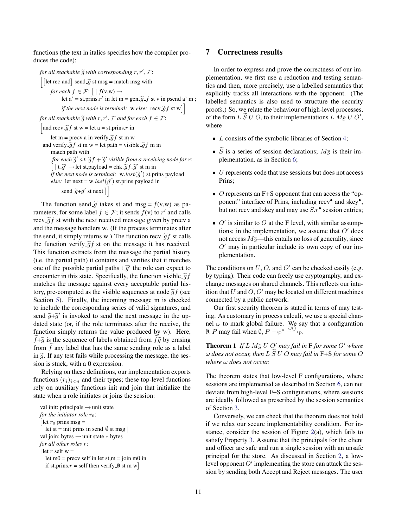functions (the text in italics specifies how the compiler produces the code):

*for all reachable*  $\widetilde{g}$  *with corresponding*  $r, r', \mathcal{F}$ : [ $\left[$  let rec $\left[$ and $\right]$  send  $\tilde{g}$  st msg = match msg with *for each*  $f \in \mathcal{F}: \left[ \begin{array}{c} | \\ | \end{array} f(v,w) \right. \rightarrow$ let a' = st.prins. $r'$  in let m = gen. $\tilde{g}$  f st v in psend a' m; *if the next node is terminal:* w *else:* recv\_ $\tilde{g}f$  st w] for all reachable  $\widetilde{g}$  with  $r, r', \mathcal{F}$  and for each  $f \in \mathcal{F}$ :<br><sup>F</sup> [and recv\_ $\tilde{g}f$  st w = let a = st.prins.*r* in let m = precv a in verify  $\tilde{q}f$  st m w and verify  $\tilde{g}f$  st m w = let path = visible  $\tilde{g}f$  m in match path with *for each*  $\widetilde{g}'$  *s.t.*  $\widetilde{g}f + \widetilde{g}'$  visible from a receiving node for r:<br> $\widetilde{g}'$  and strawlead  $-\int k \widetilde{g}'$  at m in  $[ | t \tilde{g}' \rightarrow let$  st,payload = chk  $\tilde{g} f \tilde{g}'$  st m in *if the next node is terminal:* w.*last*( $\tilde{g}'$ ) st.prins payload *is* also: let next = w *last*( $\tilde{g}'$ ) st prins payload in *else:* let next = w.*last*( $\tilde{g}'$ ) st.prins payload in

 $\text{send}_{\tilde{g}} + \tilde{g}' \text{ st next }$ ]

The function send  $\tilde{g}$  takes st and msg =  $f(v,w)$  as parameters, for some label  $f \in \mathcal{F}$ ; it sends  $f(v)$  to  $r'$  and calls recv  $\tilde{g}f$  st with the next received message given by precv a and the message handlers w. (If the process terminates after the send, it simply returns w.) The function recv  $\tilde{q}f$  st calls the function verify  $\tilde{q}f$  st on the message it has received. This function extracts from the message the partial history (i.e. the partial path) it contains and verifies that it matches one of the possible partial paths  $t \tilde{g}'$  the role can expect to encounter in this state. Specifically, the function visible  $\tilde{g}$  f encounter in this state. Specifically, the function visible  $\tilde{q}$  f matches the message against every acceptable partial history, pre-computed as the visible sequences at node  $\tilde{q}f$  (see Section [5\)](#page-8-0). Finally, the incoming message m is checked to include the corresponding series of valid signatures, and send  $\tilde{g}+\tilde{g}'$  is invoked to send the next message in the up-<br>dated state (or if the role terminates after the receive the dated state (or, if the role terminates after the receive, the function simply returns the value produced by w). Here,  $f+\widetilde{g}$  is the sequence of labels obtained from  $f\widetilde{g}$  by erasing from  $f$  any label that has the same sending role as a label in  $\tilde{g}$ . If any test fails while processing the message, the session is stuck, with a 0 expression.

Relying on these definitions, our implementation exports functions  $(r_i)_{i \le n}$  and their types; these top-level functions rely on auxiliary functions init and join that initialize the state when a role initiates or joins the session:

val init: principals  $\rightarrow$  unit state *for the initiator role*  $r_0$ : [let  $r_0$  prins msg = let st = init prins in send  $\emptyset$  st msg val join: bytes →unit state ∗ bytes *for all other roles* r:  $\int$ let r self w = let  $m0$  = precv self in let st, $m$  = join m0 in if st.prins. $r =$  self then verify  $\emptyset$  st m w

#### <span id="page-10-0"></span>7 Correctness results

In order to express and prove the correctness of our implementation, we first use a reduction and testing semantics and then, more precisely, use a labelled semantics that explicitly tracks all interactions with the opponent. (The labelled semantics is also used to structure the security proofs.) So, we relate the behaviour of high-level processes, of the form  $L \tilde{S} U O$ , to their implementations  $L M_{\tilde{S}} U O'$ , where

- *L* consists of the symbolic libraries of Section [4;](#page-7-0)
- $\tilde{S}$  is a series of session declarations;  $M_{\tilde{S}}$  is their implementation, as in Section [6;](#page-9-0)
- U represents code that use sessions but does not access Prins;
- O represents an F+S opponent that can access the "opponent" interface of Prins, including recv<sup>•</sup> and skey<sup>•</sup>, but not recv and skey and may use  $S.r^{\bullet}$  session entries;
- $\bullet$  O' is similar to O at the F level, with similar assumptions; in the implementation, we assume that  $O'$  does not access  $M\tilde{g}$ —this entails no loss of generality, since  $O'$  may in particular include its own copy of our implementation.

The conditions on  $U$ ,  $O$ , and  $O'$  can be checked easily (e.g. by typing). Their code can freely use cryptography, and exchange messages on shared channels. This reflects our intuition that U and O, O' may be located on different machines connected by a public network.

Our first security theorem is stated in terms of may testing. As customary in process calculi, we use a special channel  $\omega$  to mark global failure. We say that a configuration  $\emptyset$ , P may fail when  $\emptyset$ ,  $P \rightarrow_P^* \xrightarrow{\overline{\omega}()} P$ .

<span id="page-10-1"></span>**Theorem 1** If L  $M\tilde{g}$  U O' may fail in F for some O' where  $\omega$  *does not occur, then*  $LS$   $U$   $O$  *may fail in*  $F+S$  *for some*  $O$ *where* ω *does not occur.*

The theorem states that low-level F configurations, where sessions are implemented as described in Section [6,](#page-9-0) can not deviate from high-level F+S configurations, where sessions are ideally followed as prescribed by the session semantics of Section [3.](#page-5-0)

Conversely, we can check that the theorem does not hold if we relax our secure implementability condition. For instance, consider the session of Figure  $2(a)$  $2(a)$ , which fails to satisfy Property [3.](#page-5-1) Assume that the principals for the client and officer are safe and run a single session with an unsafe principal for the store. As discussed in Section [2,](#page-2-0) a lowlevel opponent  $O'$  implementing the store can attack the session by sending both Accept and Reject messages. The user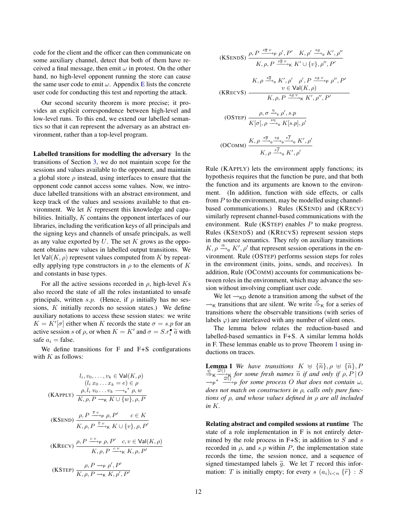code for the client and the officer can then communicate on some auxiliary channel, detect that both of them have received a final message, then emit  $\omega$  in protest. On the other hand, no high-level opponent running the store can cause the same user code to emit  $\omega$ . Appendix [E](#page-16-0) lists the concrete user code for conducting this test and reporting the attack.

Our second security theorem is more precise; it provides an explicit correspondence between high-level and low-level runs. To this end, we extend our labelled semantics so that it can represent the adversary as an abstract environment, rather than a top-level program.

Labelled transitions for modelling the adversary In the transitions of Section [3,](#page-5-0) we do not maintain scope for the sessions and values available to the opponent, and maintain a global store  $\rho$  instead, using interfaces to ensure that the opponent code cannot access some values. Now, we introduce labelled transitions with an abstract environment, and keep track of the values and sessions available to that environment. We let  $K$  represent this knowledge and capabilities. Initially, K contains the opponent interfaces of our libraries, including the verification keys of all principals and the signing keys and channels of unsafe principals, as well as any value exported by  $U$ . The set  $K$  grows as the opponent obtains new values in labelled output transitions. We let  $Val(K, \rho)$  represent values computed from K by repeatedly applying type constructors in  $\rho$  to the elements of K and constants in base types.

For all the active sessions recorded in  $\rho$ , high-level Ks also record the state of all the roles instantiated to unsafe principals, written s.p. (Hence, if  $\rho$  initially has no sessions, K initially records no session states.) We define auxiliary notations to access these session states: we write  $K = K'[\sigma]$  either when K records the state  $\sigma = s.p$  for an active session s of  $\rho$ , or when  $K = K'$  and  $\sigma = S.r_i^{\bullet}$   $\tilde{\alpha}$  with safe  $a_i$  = false.

We define transitions for  $F$  and  $F+S$  configurations with  $K$  as follows:

$$
l_i, v_0, \dots, v_k \in \text{Val}(K, \rho)
$$
  

$$
(l_i x_0 \dots x_k = e) \in \rho
$$
  

$$
\text{(KAPPLY)} \xrightarrow{\rho, l_i v_0 \dots v_k \longrightarrow_e^* \rho, w}
$$
  

$$
\overline{K, \rho, P \longrightarrow_K K \cup \{w\}, \rho, P}
$$
  

$$
\text{(KSEND)} \xrightarrow{\rho, P \xrightarrow{\bar{c}v} p, P' \qquad c \in K}
$$
  

$$
\overline{K, \rho, P \xrightarrow{\bar{c}v} K \cup \{v\}, \rho, P'}
$$
  

$$
\text{(KRECV)} \xrightarrow{\rho, P \xrightarrow{c v} p, \rho, P' \qquad c, v \in \text{Val}(K, \rho)}
$$
  

$$
\overline{K, \rho, P \xrightarrow{\rho} \rho', P'}
$$
  

$$
\text{(KSTEP)} \xrightarrow{\rho, P \rightarrow_P \rho', P'}
$$

(KSENDS) 
$$
\frac{\rho, P \xrightarrow{s\overline{g} v} \rho', P' \quad K, \rho' \xrightarrow{sg} \alpha K', \rho''}{K, \rho, P \xrightarrow{sg} v} K' \cup \{v\}, \rho'', P'
$$

$$
K, \rho \xrightarrow{sg} \alpha K', \rho' \rho', P \xrightarrow{sg} v \rho'', P'
$$

$$
(KRECVS) \xrightarrow{v \in Val(K, \rho)} K, \rho, P \xrightarrow{sg} v \times K', \rho'', P'
$$

$$
(OSTEP) \frac{\rho, \sigma \xrightarrow{n} \alpha \rho', s, p}{K[\sigma], \rho \xrightarrow{sg} \alpha K[s, p], \rho'}
$$

$$
(OCOMM) \xrightarrow{K, \rho \xrightarrow{sg} \alpha \sigma \xrightarrow{sg} \alpha \sigma \xrightarrow{sf} K', \rho'}
$$

$$
K, \rho \xrightarrow{sf} \alpha K', \rho'
$$

Rule (KAPPLY) lets the environment apply functions; its hypothesis requires that the function be pure, and that both the function and its arguments are known to the environment. (In addition, function with side effects, or calls from P to the environment, may be modelled using channelbased communications.) Rules (KSEND) and (KRECV) similarly represent channel-based communications with the environment. Rule (KSTEP) enables  $P$  to make progress. Rules (KSENDS) and (KRECVS) represent session steps in the source semantics. They rely on auxiliary transitions  $K, \rho \xrightarrow{\alpha} K', \rho'$  that represent session operations in the environment. Rule (OSTEP) performs session steps for roles in the environment (inits, joins, sends, and receives). In addition, Rule (OCOMM) accounts for communications between roles in the environment, which may advance the session without involving compliant user code.

We let  $\rightarrow_{KD}$  denote a transition among the subset of the  $\rightarrow_K$  transitions that are silent. We write  $\stackrel{\varphi}{\Rightarrow}_K$  for a series of transitions where the observable transitions (with series of labels  $\varphi$ ) are interleaved with any number of silent ones.

The lemma below relates the reduction-based and labelled-based semantics in F+S. A similar lemma holds in F. These lemmas enable us to prove Theorem [1](#page-10-1) using inductions on traces.

**Lemma 1** We have transitions  $K \oplus {\{\widetilde{n}\}}, \rho \oplus {\{\widetilde{n}\}}, P$  $\Rightarrow \kappa \frac{\overline{\omega}(\cdot)}{\rightarrow}$  for some fresh names  $\tilde{n}$  if and only if  $\rho, P | O$ <br>  $\rightarrow P^* \xrightarrow{\omega} P$  for some process O that does not contain  $\omega$ , *does not match on constructors in* ρ*, calls only pure functions of* ρ*, and whose values defined in* ρ *are all included in* K*.*

Relating abstract and compiled sessions at runtime The state of a role implementation in F is not entirely determined by the role process in  $F+S$ ; in addition to S and s recorded in  $\rho$ , and s.p within P, the implementation state records the time, the session nonce, and a sequence of signed timestamped labels  $\tilde{q}$ . We let T record this information: T is initially empty; for every  $s(a_i)_{i \le n} \{\tilde{r}\} : S$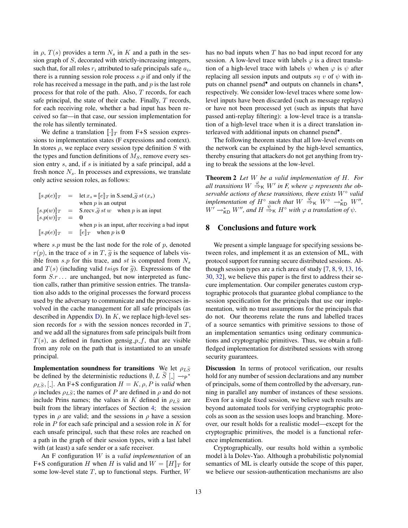in  $\rho$ ,  $T(s)$  provides a term  $N_s$  in K and a path in the session graph of S, decorated with strictly-increasing integers, such that, for all roles  $r_i$  attributed to safe principals safe  $a_i$ , there is a running session role process  $s.p$  if and only if the role has received a message in the path, and  $p$  is the last role process for that role of the path. Also, T records, for each safe principal, the state of their cache. Finally,  $T$  records, for each receiving role, whether a bad input has been received so far—in that case, our session implementation for the role has silently terminated.

We define a translation  $\lbrack \cdot \rbrack_T$  from F+S session expressions to implementation states (F expressions and context). In stores  $\rho$ , we replace every session type definition S with the types and function definitions of  $M<sub>S</sub>$ , remove every session entry s, and, if s is initiated by a safe principal, add a fresh nonce  $N<sub>s</sub>$ . In processes and expressions, we translate only active session roles, as follows:

$$
\begin{array}{rcl}\n[\![s.p(e)]]\!]_T & = & \text{let } x_s = [\![e]\!]_T \text{ in S.send.} \widetilde{g} \, st \, (x_s) \\
& \text{when } p \text{ is an output} \\
[\![s.p(w)]]\!]_T & = & \text{S.recv.} \widetilde{g} \, st \, w \quad \text{when } p \text{ is an input} \\
[\![s.p(w)]]\!]_T & = & 0 \\
[\![s.p(e)]]\!]_T & = & [\![e]\!]_T \quad \text{when } p \text{ is 0}\n\end{array}
$$

where  $s.p$  must be the last node for the role of  $p$ , denoted  $r(p)$ , in the trace of s in T,  $\tilde{g}$  is the sequence of labels visible from  $s.p$  for this trace, and st is computed from  $N_s$ and  $T(s)$  (including valid tsigs for  $\tilde{q}$ ). Expressions of the form  $S.r \dots$  are unchanged, but now interpreted as function calls, rather than primitive session entries. The translation also adds to the original processes the forward process used by the adversary to communicate and the processes involved in the cache management for all safe principals (as described in Appendix [D\)](#page-15-1). In  $K$ , we replace high-level session records for  $s$  with the session nonces recorded in  $T$ , and we add all the signatures from safe principals built from  $T(s)$ , as defined in function gensig<sub>-p-f</sub>, that are visible from any role on the path that is instantiated to an unsafe principal.

**Implementation soundness for transitions** We let  $\rho_L \tilde{s}$ be defined by the deterministic reductions  $\emptyset, L \tilde{S}$  [\_]  $\rightarrow P^*$  $\rho_L$  $\tilde{s}$ , [...]. An F+S configuration  $H = K$ ,  $\rho$ , P is *valid* when  $\rho$  includes  $\rho_L \tilde{g}$ ; the names of P are defined in  $\rho$  and do not include Prins names; the values in K defined in  $\rho_L$  $\tilde{g}$  are built from the library interfaces of Section [4;](#page-7-0) the session types in  $\rho$  are valid; and the sessions in  $\rho$  have a session role in P for each safe principal and a session role in K for each unsafe principal, such that these roles are reached on a path in the graph of their session types, with a last label with (at least) a safe sender or a safe receiver.

An F configuration W is a *valid implementation* of an F+S configuration H when H is valid and  $W = \llbracket H \rrbracket_T$  for some low-level state  $T$ , up to functional steps. Further,  $W$ 

has no bad inputs when  $T$  has no bad input record for any session. A low-level trace with labels  $\varphi$  is a direct translation of a high-level trace with labels  $\psi$  when  $\varphi$  is  $\psi$  after replacing all session inputs and outputs  $s\eta$  v of  $\psi$  with inputs on channel psend<sup>•</sup> and outputs on channels in chans<sup>•</sup>, respectively. We consider low-level traces where some lowlevel inputs have been discarded (such as message replays) or have not been processed yet (such as inputs that have passed anti-replay filtering): a low-level trace is a translation of a high-level trace when it is a direct translation interleaved with additional inputs on channel psend<sup>•</sup>.

The following theorem states that all low-level events on the network can be explained by the high-level semantics, thereby ensuring that attackers do not get anything from trying to break the sessions at the low-level.

Theorem 2 *Let* W *be a valid implementation of* H*. For* all transitions  $W \stackrel{\varphi}{\Rightarrow}_{\mathsf{K}} W'$  in *F*, where  $\varphi$  represents the ob*servable actions of these transitions, there exists* W◦ *valid implementation of*  $H^{\circ}$  *such that*  $W \stackrel{\varphi}{\Rightarrow}_{\mathsf{K}} W^{\circ} \rightarrow_{\mathsf{K}\mathsf{D}}^* W'',$  $W' \rightarrow_{\mathsf{KD}}^* W''$ , and  $H \stackrel{\psi}{\Rightarrow}_{\mathsf{K}} H^{\circ}$  with  $\varphi$  a translation of  $\psi$ .

# <span id="page-12-0"></span>8 Conclusions and future work

We present a simple language for specifying sessions between roles, and implement it as an extension of ML, with protocol support for running secure distributed sessions. Although session types are a rich area of study [\[7,](#page-13-2) [8,](#page-13-3) [9,](#page-13-4) [13,](#page-13-5) [16,](#page-14-0) [30,](#page-14-1) [32\]](#page-14-2), we believe this paper is the first to address their secure implementation. Our compiler generates custom cryptographic protocols that guarantee global compliance to the session specification for the principals that use our implementation, with no trust assumptions for the principals that do not. Our theorems relate the runs and labelled traces of a source semantics with primitive sessions to those of an implementation semantics using ordinary communications and cryptographic primitives. Thus, we obtain a fullfledged implementation for distributed sessions with strong security guarantees.

Discussion In terms of protocol verification, our results hold for any number of session declarations and any number of principals, some of them controlled by the adversary, running in parallel any number of instances of these sessions. Even for a single fixed session, we believe such results are beyond automated tools for verifying cryptographic protocols as soon as the session uses loops and branching. Moreover, our result holds for a realistic model—except for the cryptographic primitives, the model is a functional reference implementation.

Cryptographically, our results hold within a symbolic model a la Dolev-Yao. Although a probabilistic polynomial ` semantics of ML is clearly outside the scope of this paper, we believe our session-authentication mechanisms are also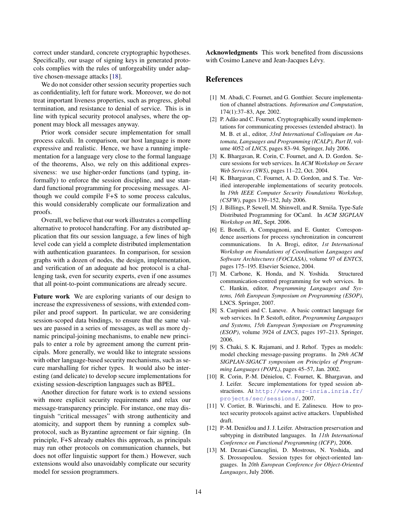correct under standard, concrete cryptographic hypotheses. Specifically, our usage of signing keys in generated protocols complies with the rules of unforgeability under adaptive chosen-message attacks [\[18\]](#page-14-21).

We do not consider other session security properties such as confidentiality, left for future work. Moreover, we do not treat important liveness properties, such as progress, global termination, and resistance to denial of service. This is in line with typical security protocol analyses, where the opponent may block all messages anyway.

Prior work consider secure implementation for small process calculi. In comparison, our host language is more expressive and realistic. Hence, we have a running implementation for a language very close to the formal language of the theorems, Also, we rely on this additional expressiveness: we use higher-order functions (and typing, informally) to enforce the session discipline, and use standard functional programming for processing messages. Although we could compile F+S to some process calculus, this would considerably complicate our formalization and proofs.

Overall, we believe that our work illustrates a compelling alternative to protocol handcrafting. For any distributed application that fits our session language, a few lines of high level code can yield a complete distributed implementation with authentication guarantees. In comparison, for session graphs with a dozen of nodes, the design, implementation, and verification of an adequate ad hoc protocol is a challenging task, even for security experts, even if one assumes that all point-to-point communications are already secure.

Future work We are exploring variants of our design to increase the expressiveness of sessions, with extended compiler and proof support. In particular, we are considering session-scoped data bindings, to ensure that the same values are passed in a series of messages, as well as more dynamic principal-joining mechanisms, to enable new principals to enter a role by agreement among the current principals. More generally, we would like to integrate sessions with other language-based security mechanisms, such as secure marshalling for richer types. It would also be interesting (and delicate) to develop secure implementations for existing session-description languages such as BPEL.

Another direction for future work is to extend sessions with more explicit security requirements and relax our message-transparency principle. For instance, one may distinguish "critical messages" with strong authenticity and atomicity, and support them by running a complex subprotocol, such as Byzantine agreement or fair signing. (In principle, F+S already enables this approach, as principals may run other protocols on communication channels, but does not offer linguistic support for them.) However, such extensions would also unavoidably complicate our security model for session programmers.

Acknowledgments This work benefited from discussions with Cosimo Laneve and Jean-Jacques Lévy.

# References

- <span id="page-13-0"></span>[1] M. Abadi, C. Fournet, and G. Gonthier. Secure implementation of channel abstractions. *Information and Computation*, 174(1):37–83, Apr. 2002.
- <span id="page-13-1"></span>[2] P. Adão and C. Fournet. Cryptographically sound implementations for communicating processes (extended abstract). In M. B. et al., editor, *33rd International Colloquium on Automata, Languages and Programming (ICALP), Part II*, volume 4052 of *LNCS*, pages 83–94. Springer, July 2006.
- <span id="page-13-8"></span>[3] K. Bhargavan, R. Corin, C. Fournet, and A. D. Gordon. Secure sessions for web services. In *ACM Workshop on Secure Web Services (SWS)*, pages 11–22, Oct. 2004.
- <span id="page-13-6"></span>[4] K. Bhargavan, C. Fournet, A. D. Gordon, and S. Tse. Verified interoperable implementations of security protocols. In *19th IEEE Computer Security Foundations Workshop, (CSFW)*, pages 139–152, July 2006.
- <span id="page-13-10"></span>[5] J. Billings, P. Sewell, M. Shinwell, and R. Strniša. Type-Safe Distributed Programming for OCaml. In *ACM SIGPLAN Workshop on ML*, Sept. 2006.
- <span id="page-13-7"></span>[6] E. Bonelli, A. Compagnoni, and E. Gunter. Correspondence assertions for process synchronization in concurrent communications. In A. Brogi, editor, *1st International Workshop on Foundations of Coordination Languages and Software Architectures (FOCLASA)*, volume 97 of *ENTCS*, pages 175–195. Elsevier Science, 2004.
- <span id="page-13-2"></span>[7] M. Carbone, K. Honda, and N. Yoshida. Structured communication-centred programming for web services. In C. Hankin, editor, *Programming Languages and Systems, 16th European Symposium on Programming (ESOP)*, LNCS. Springer, 2007.
- <span id="page-13-3"></span>[8] S. Carpineti and C. Laneve. A basic contract language for web services. In P. Sestoft, editor, *Programming Languages and Systems, 15th European Symposium on Programming (ESOP)*, volume 3924 of *LNCS*, pages 197–213. Springer, 2006.
- <span id="page-13-4"></span>[9] S. Chaki, S. K. Rajamani, and J. Rehof. Types as models: model checking message-passing programs. In *29th ACM SIGPLAN-SIGACT symposium on Principles of Programming Languages (POPL)*, pages 45–57, Jan. 2002.
- <span id="page-13-12"></span>[10] R. Corin, P.-M. Dénielou, C. Fournet, K. Bhargavan, and J. Leifer. Secure implementations for typed session abstractions. At [http://www.msr-inria.inria.fr/](http://www.msr-inria.inria.fr/projects/sec/sessions/) [projects/sec/sessions/](http://www.msr-inria.inria.fr/projects/sec/sessions/), 2007.
- <span id="page-13-11"></span>[11] V. Cortier, B. Warinschi, and E. Zalinescu. How to protect security protocols against active attackers. Unpublished draft.
- <span id="page-13-9"></span>[12] P.-M. Deniélou and J. J. Leifer. Abstraction preservation and subtyping in distributed languages. In *11th International Conference on Functional Programming (ICFP)*, 2006.
- <span id="page-13-5"></span>[13] M. Dezani-Ciancaglini, D. Mostrous, N. Yoshida, and S. Drossopoulou. Session types for object-oriented languages. In *20th European Conference for Object-Oriented Languages*, July 2006.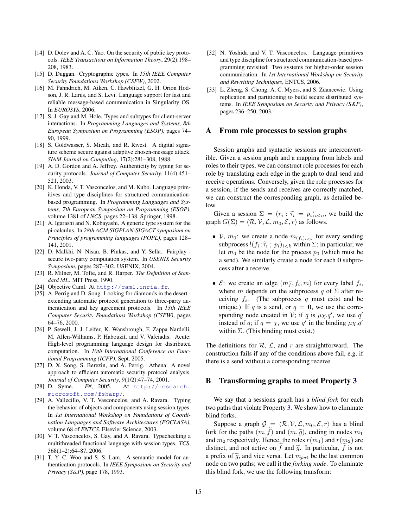- <span id="page-14-19"></span>[14] D. Dolev and A. C. Yao. On the security of public key protocols. *IEEE Transactions on Information Theory*, 29(2):198– 208, 1983.
- <span id="page-14-14"></span>[15] D. Duggan. Cryptographic types. In *15th IEEE Computer Security Foundations Workshop (CSFW)*, 2002.
- <span id="page-14-0"></span>[16] M. Fahndrich, M. Aiken, C. Hawblitzel, G. H. Orion Hodson, J. R. Larus, and S. Levi. Language support for fast and reliable message-based communication in Singularity OS. In *EUROSYS*, 2006.
- <span id="page-14-6"></span>[17] S. J. Gay and M. Hole. Types and subtypes for client-server interactions. In *Programming Languages and Systems, 8th European Symposium on Programming (ESOP)*, pages 74– 90, 1999.
- <span id="page-14-21"></span>[18] S. Goldwasser, S. Micali, and R. Rivest. A digital signature scheme secure against adaptive chosen-message attack. *SIAM Journal on Computing*, 17(2):281–308, 1988.
- <span id="page-14-9"></span>[19] A. D. Gordon and A. Jeffrey. Authenticity by typing for security protocols. *Journal of Computer Security*, 11(4):451– 521, 2003.
- <span id="page-14-7"></span>[20] K. Honda, V. T. Vasconcelos, and M. Kubo. Language primitives and type disciplines for structured communicationbased programming. In *Programming Languages and Systems, 7th European Symposium on Programming (ESOP)*, volume 1381 of *LNCS*, pages 22–138. Springer, 1998.
- <span id="page-14-8"></span>[21] A. Igarashi and N. Kobayashi. A generic type system for the pi-calculus. In *28th ACM SIGPLAN-SIGACT symposium on Principles of programming languages (POPL)*, pages 128– 141, 2001.
- <span id="page-14-13"></span>[22] D. Malkhi, N. Nisan, B. Pinkas, and Y. Sella. Fairplay secure two-party computation system. In *USENIX Security Symposium*, pages 287–302. USENIX, 2004.
- <span id="page-14-4"></span>[23] R. Milner, M. Tofte, and R. Harper. *The Definition of Standard ML*. MIT Press, 1990.
- <span id="page-14-15"></span><span id="page-14-5"></span>[24] Objective Caml. At <http://caml.inria.fr>.
- [25] A. Perrig and D. Song. Looking for diamonds in the desert extending automatic protocol generation to three-party authentication and key agreement protocols. In *13th IEEE Computer Security Foundations Workshop (CSFW)*, pages 64–76, 2000.
- <span id="page-14-11"></span>[26] P. Sewell, J. J. Leifer, K. Wansbrough, F. Zappa Nardelli, M. Allen-Williams, P. Habouzit, and V. Vafeiadis. Acute: High-level programming language design for distributed computation. In *10th International Conference on Functional Programming (ICFP)*, Sept. 2005.
- <span id="page-14-16"></span>[27] D. X. Song, S. Berezin, and A. Perrig. Athena: A novel approach to efficient automatic security protocol analysis. *Journal of Computer Security*, 9(1/2):47–74, 2001.
- <span id="page-14-3"></span>[28] D. Syme. *F#*, 2005. At [http://research.](http://research.microsoft.com/fsharp/) [microsoft.com/fsharp/](http://research.microsoft.com/fsharp/).
- <span id="page-14-10"></span>[29] A. Vallecillo, V. T. Vasconcelos, and A. Ravara. Typing the behavior of objects and components using session types. In *1st International Workshop on Foundations of Coordination Languages and Software Architectures (FOCLASA)*, volume 68 of *ENTCS*. Elsevier Science, 2003.
- <span id="page-14-1"></span>[30] V. T. Vasconcelos, S. Gay, and A. Ravara. Typechecking a multithreaded functional language with session types. *TCS*, 368(1–2):64–87, 2006.
- <span id="page-14-18"></span>[31] T. Y. C. Woo and S. S. Lam. A semantic model for authentication protocols. In *IEEE Symposium on Security and Privacy (S&P)*, page 178, 1993.
- <span id="page-14-2"></span>[32] N. Yoshida and V. T. Vasconcelos. Language primitives and type discipline for structured communication-based programming revisited: Two systems for higher-order session communication. In *1st International Workshop on Security and Rewriting Techniques*, ENTCS, 2006.
- <span id="page-14-12"></span>[33] L. Zheng, S. Chong, A. C. Myers, and S. Zdancewic. Using replication and partitioning to build secure distributed systems. In *IEEE Symposium on Security and Privacy (S&P)*, pages 236–250, 2003.

#### <span id="page-14-17"></span>A From role processes to session graphs

Session graphs and syntactic sessions are interconvertible. Given a session graph and a mapping from labels and roles to their types, we can construct role processes for each role by translating each edge in the graph to dual send and receive operations. Conversely, given the role processes for a session, if the sends and receives are correctly matched, we can construct the corresponding graph, as detailed below.

Given a session  $\Sigma = (r_i : \tilde{\tau}_i = p_i)_{i \leq n}$ , we build the graph  $G(\Sigma) = \langle \mathcal{R}, \mathcal{V}, \mathcal{L}, m_0, \mathcal{E}, r \rangle$  as follows.

- $V$ ,  $m_0$ : we create a node  $m_{(f_i)_{i \leq k}}$  for every sending subprocess  $!(f_i; \tilde{\tau}_i; p_i)_{i \leq k}$  within  $\Sigma$ ; in particular, we let me has the node for the process me (which must be let  $m_0$  be the node for the process  $p_0$  (which must be a send). We similarly create a node for each 0 subprocess after a receive.
- $\mathcal{E}$ : we create an edge  $(m\tilde{f}, f_i, m)$  for every label  $f_i$ , where m depends on the subprocess q of  $\Sigma$  after receiving  $f_i$ . (The subprocess q must exist and be unique.) If q is a send, or  $q = 0$ , we use the corresponding node created in V; if q is  $\mu \chi$ . $q'$ , we use q' instead of q; if  $q = \chi$ , we use q' in the binding  $\mu \chi$ .q' within  $\Sigma$ . (This binding must exist.)

The definitions for  $R$ ,  $\mathcal{L}$ , and r are straightforward. The construction fails if any of the conditions above fail, e.g. if there is a send without a corresponding receive.

# <span id="page-14-20"></span>B Transforming graphs to meet Property [3](#page-5-1)

We say that a sessions graph has a *blind fork* for each two paths that violate Property [3.](#page-5-1) We show how to eliminate blind forks.

Suppose a graph  $\mathcal{G} = \langle \mathcal{R}, \mathcal{V}, \mathcal{L}, m_0, \mathcal{E}, r \rangle$  has a blind fork for the paths  $(m, \tilde{f})$  and  $(m, \tilde{g})$ , ending in nodes  $m_1$ and  $m_2$  respectively. Hence, the roles  $r(m_1)$  and  $r(m_2)$  are distinct, and not active on f and  $\tilde{g}$ . In particular, f is not a prefix of  $\tilde{g}$ , and vice versa. Let  $m_{fork}$  be the last common node on two paths; we call it the *forking node*. To eliminate this blind fork, we use the following transform: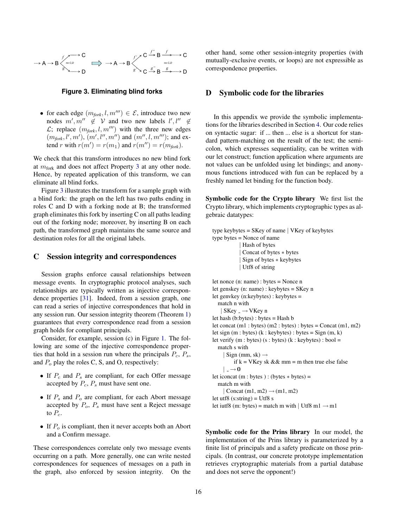

<span id="page-15-2"></span>**Figure 3. Eliminating blind forks**

• for each edge  $(m_{fork}, l, m^{\prime\prime\prime}) \in \mathcal{E}$ , introduce two new nodes  $m', m'' \notin V$  and two new labels  $l', l'' \notin$  $\mathcal{L}$ ; replace  $(m_{fork}, l, m^{\prime\prime\prime})$  with the three new edges  $(m_{fork}, l', m')$ ,  $(m', l'', m'')$  and  $(m'', l, m'')$ ; and extend r with  $r(m') = r(m_1)$  and  $r(m'') = r(m_{fork})$ .

We check that this transform introduces no new blind fork at  $m_{\text{fork}}$  and does not affect Property [3](#page-5-1) at any other node. Hence, by repeated application of this transform, we can eliminate all blind forks.

Figure [3](#page-15-2) illustrates the transform for a sample graph with a blind fork: the graph on the left has two paths ending in roles C and D with a forking node at B; the transformed graph eliminates this fork by inserting C on all paths leading out of the forking node; moreover, by inserting B on each path, the transformed graph maintains the same source and destination roles for all the original labels.

#### <span id="page-15-0"></span>C Session integrity and correspondences

Session graphs enforce causal relationships between message events. In cryptographic protocol analyses, such relationships are typically written as injective correspondence properties [\[31\]](#page-14-18). Indeed, from a session graph, one can read a series of injective correspondences that hold in any session run. Our session integrity theorem (Theorem [1\)](#page-10-1) guarantees that every correspondence read from a session graph holds for compliant principals.

Consider, for example, session (c) in Figure [1.](#page-3-0) The following are some of the injective correspondence properties that hold in a session run where the principals  $P_c$ ,  $P_s$ , and  $P<sub>o</sub>$  play the roles C, S, and O, respectively:

- If  $P_c$  and  $P_s$  are compliant, for each Offer message accepted by  $P_c$ ,  $P_s$  must have sent one.
- If  $P_s$  and  $P_o$  are compliant, for each Abort message accepted by  $P_0$ ,  $P_s$  must have sent a Reject message to  $P_c$ .
- If  $P<sub>o</sub>$  is compliant, then it never accepts both an Abort and a Confirm message.

These correspondences correlate only two message events occurring on a path. More generally, one can write nested correspondences for sequences of messages on a path in the graph, also enforced by session integrity. On the other hand, some other session-integrity properties (with mutually-exclusive events, or loops) are not expressible as correspondence properties.

#### <span id="page-15-1"></span>D Symbolic code for the libraries

In this appendix we provide the symbolic implementations for the libraries described in Section [4.](#page-7-0) Our code relies on syntactic sugar: if ... then ... else is a shortcut for standard pattern-matching on the result of the test; the semicolon, which expresses sequentiality, can be written with our let construct; function application where arguments are not values can be unfolded using let bindings; and anonymous functions introduced with fun can be replaced by a freshly named let binding for the function body.

Symbolic code for the Crypto library We first list the Crypto library, which implements cryptographic types as algebraic datatypes:

```
type keybytes = SKey of name \vert VKey of keybytes
type bytes = Nonce of name
           | Hash of bytes
             | Concat of bytes ∗ bytes
             | Sign of bytes ∗ keybytes
           | Utf8 of string
let nonce (n: name) : bytes = Nonce n
let genskey (n: name) : keybytes = SKey n
let genvkey (n:keybytes) : keybytes =
  match n with
   | SKey \Box \rightarrow VKey n
let hash (b:bytes) : bytes = Hash b
let concat (m1 : bytes) (m2 : bytes) : bytes = Concat (m1, m2)
let sign (m : bytes) (k : keybytes) : bytes = Sign (m, k)let verify (m : bytes) (s : bytes) (k : keybytes) : bool =
```
match s with

 $| \rightarrow 0$ 

match m with

| Sign (mm, sk)  $\rightarrow$ 

let utf8 (s:string) = Utf8 s

let iconcat  $(m : bytes) : (bytes * bytes) =$ 

 $|$  Concat (m1, m2)  $\rightarrow$  (m1, m2)

let iutf8 (m: bytes) = match m with | Utf8 m1  $\rightarrow$  m1

Symbolic code for the Prins library In our model, the implementation of the Prins library is parameterized by a finite list of principals and a safety predicate on those principals. (In contrast, our concrete prototype implementation retrieves cryptographic materials from a partial database and does not serve the opponent!)

if  $k = VKey$  sk &  $\&$  mm = m then true else false